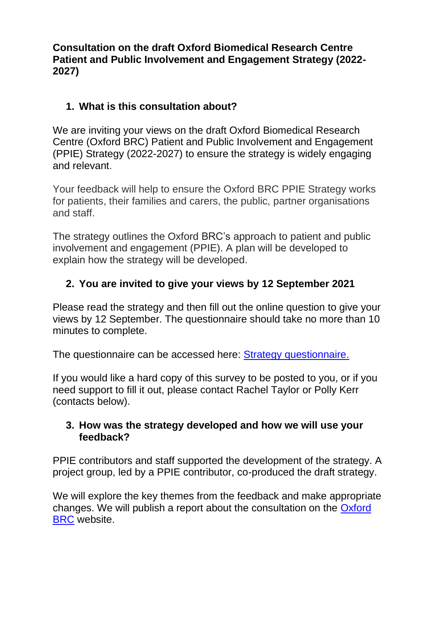**Consultation on the draft Oxford Biomedical Research Centre Patient and Public Involvement and Engagement Strategy (2022- 2027)**

## **1. What is this consultation about?**

We are inviting your views on the draft Oxford Biomedical Research Centre (Oxford BRC) Patient and Public Involvement and Engagement (PPIE) Strategy (2022-2027) to ensure the strategy is widely engaging and relevant.

Your feedback will help to ensure the Oxford BRC PPIE Strategy works for patients, their families and carers, the public, partner organisations and staff.

The strategy outlines the Oxford BRC's approach to patient and public involvement and engagement (PPIE). A plan will be developed to explain how the strategy will be developed.

## **2. You are invited to give your views by 12 September 2021**

Please read the strategy and then fill out the online question to give your views by 12 September. The questionnaire should take no more than 10 minutes to complete.

The questionnaire can be accessed here: [Strategy questionnaire.](https://oxford.onlinesurveys.ac.uk/patient-and-public-involvement-strategy-feedback-questionn-2)

If you would like a hard copy of this survey to be posted to you, or if you need support to fill it out, please contact Rachel Taylor or Polly Kerr (contacts below).

#### **3. How was the strategy developed and how we will use your feedback?**

PPIE contributors and staff supported the development of the strategy. A project group, led by a PPIE contributor, co-produced the draft strategy.

We will explore the key themes from the feedback and make appropriate changes. We will publish a report about the consultation on the [Oxford](https://oxfordbrc.nihr.ac.uk/ppi/diversity-in-research-group/)  [BRC](https://oxfordbrc.nihr.ac.uk/ppi/diversity-in-research-group/) website.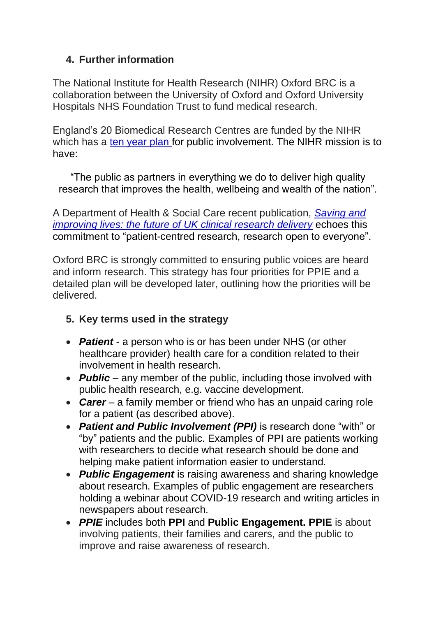### **4. Further information**

The National Institute for Health Research (NIHR) Oxford BRC is a collaboration between the University of Oxford and Oxford University Hospitals NHS Foundation Trust to fund medical research.

England's 20 Biomedical Research Centres are funded by the NIHR which has a [ten year plan](https://www.nihr.ac.uk/documents/about-us/our-contribution-to-research/how-we-involve-patients-carers-and-the-public/Going-the-Extra-Mile.pdf) for public involvement. The NIHR mission is to have:

"The public as partners in everything we do to deliver high quality research that improves the health, wellbeing and wealth of the nation".

A Department of Health & Social Care recent publication, *[Saving and](https://www.gov.uk/government/publications/the-future-of-uk-clinical-research-delivery/saving-and-improving-lives-the-future-of-uk-clinical-research-delivery)  [improving lives: the future of UK clinical research delivery](https://www.gov.uk/government/publications/the-future-of-uk-clinical-research-delivery/saving-and-improving-lives-the-future-of-uk-clinical-research-delivery)* echoes this commitment to "patient-centred research, research open to everyone".

Oxford BRC is strongly committed to ensuring public voices are heard and inform research. This strategy has four priorities for PPIE and a detailed plan will be developed later, outlining how the priorities will be delivered.

#### **5. Key terms used in the strategy**

- *Patient* a person who is or has been under NHS (or other healthcare provider) health care for a condition related to their involvement in health research.
- **Public** any member of the public, including those involved with public health research, e.g. vaccine development.
- *Carer* a family member or friend who has an unpaid caring role for a patient (as described above).
- *Patient and Public Involvement (PPI)* is research done "with" or "by" patients and the public. Examples of PPI are patients working with researchers to decide what research should be done and helping make patient information easier to understand.
- *Public Engagement* is raising awareness and sharing knowledge about research. Examples of public engagement are researchers holding a webinar about COVID-19 research and writing articles in newspapers about research.
- *PPIE* includes both **PPI** and **Public Engagement. PPIE** is about involving patients, their families and carers, and the public to improve and raise awareness of research.